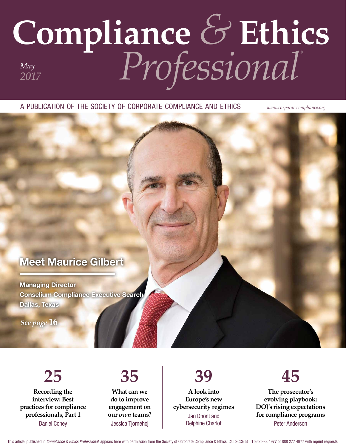# **Compliance** *&* **Ethics** *Professional® May 2017*

a publication of the society of corporate compliance and ethics *www.corporatecompliance.org*

### Meet Maurice Gilbert

Managing Director Conselium Compliance Executive Search Dallas, Texas

*See page* **16**

**25 Recording the interview: Best practices for compliance professionals, Part 1** Daniel Coney

**What can we do to improve engagement on our** *own* **teams?** Jessica Tjornehoj

**35**

**39 A look into Europe's new cybersecurity regimes** Jan Dhont and Delphine Charlot



**The prosecutor's evolving playbook: DOJ's rising expectations for compliance programs** Peter Anderson

This article, published in *Compliance & Ethics Professional*, appears here with permission from the Society of Corporate Compliance & Ethics. Call SCCE at +1 952 933 4977 or 888 277 4977 with reprint requests.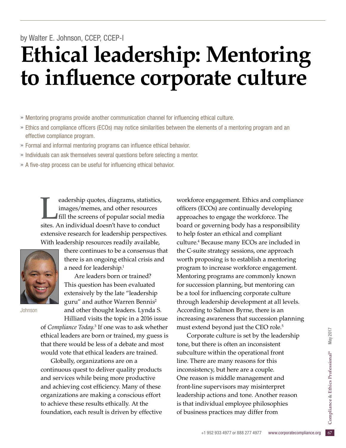## **Ethical leadership: Mentoring to influence corporate culture** by Walter E. Johnson, CCEP, CCEP-I

- » Mentoring programs provide another communication channel for influencing ethical culture.
- » Ethics and compliance officers (ECOs) may notice similarities between the elements of a mentoring program and an effective compliance program.
- » Formal and informal mentoring programs can influence ethical behavior.
- » Individuals can ask themselves several questions before selecting a mentor.
- » A five-step process can be useful for influencing ethical behavior.

Example 2013 and the resources images/memes, and other resources<br>fill the screens of popular social media<br>sites. An individual doesn't have to conduct images/memes, and other resources fill the screens of popular social media sites. An individual doesn't have to conduct extensive research for leadership perspectives. With leadership resources readily available,



Johnson

there continues to be a consensus that there is an ongoing ethical crisis and a need for leadership.<sup>1</sup>

Are leaders born or trained? This question has been evaluated extensively by the late "leadership guru" and author Warren Bennis<sup>2</sup> and other thought leaders. Lynda S.

Hilliard visits the topic in a 2016 issue of *Compliance Today*. 3 If one was to ask whether ethical leaders are born or trained, my guess is that there would be less of a debate and most would vote that ethical leaders are trained.

Globally, organizations are on a continuous quest to deliver quality products and services while being more productive and achieving cost efficiency. Many of these organizations are making a conscious effort to achieve these results ethically. At the foundation, each result is driven by effective workforce engagement. Ethics and compliance officers (ECOs) are continually developing approaches to engage the workforce. The board or governing body has a responsibility to help foster an ethical and compliant culture.4 Because many ECOs are included in the C-suite strategy sessions, one approach worth proposing is to establish a mentoring program to increase workforce engagement. Mentoring programs are commonly known for succession planning, but mentoring can be a tool for influencing corporate culture through leadership development at all levels. According to Salmon Byrne, there is an increasing awareness that succession planning must extend beyond just the CEO role.<sup>5</sup>

is that individual employee philosophies<br>
of business practices may differ from<br>
<sup>1952 933 4977 or 888 277 4977</sup> www.corporatecompliance.org 67 Corporate culture is set by the leadership tone, but there is often an inconsistent subculture within the operational front line. There are many reasons for this inconsistency, but here are a couple. One reason is middle management and front-line supervisors may misinterpret leadership actions and tone. Another reason of business practices may differ from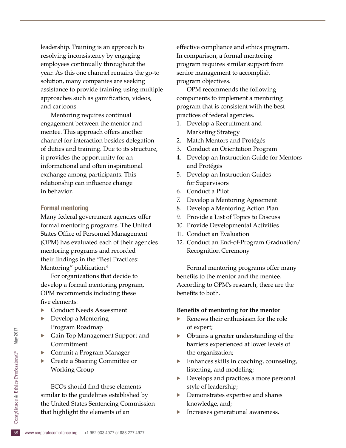leadership. Training is an approach to resolving inconsistency by engaging employees continually throughout the year. As this one channel remains the go-to solution, many companies are seeking assistance to provide training using multiple approaches such as gamification, videos, and cartoons.

Mentoring requires continual engagement between the mentor and mentee. This approach offers another channel for interaction besides delegation of duties and training. Due to its structure, it provides the opportunity for an informational and often inspirational exchange among participants. This relationship can influence change in behavior.

#### Formal mentoring

Many federal government agencies offer formal mentoring programs. The United States Office of Personnel Management (OPM) has evaluated each of their agencies mentoring programs and recorded their findings in the "Best Practices: Mentoring" publication.<sup>6</sup>

For organizations that decide to develop a formal mentoring program, OPM recommends including these five elements:

- · Conduct Needs Assessment
- Develop a Mentoring Program Roadmap
- Gain Top Management Support and Commitment
- Commit a Program Manager
- Create a Steering Committee or Working Group

the United States Sentencing Commission<br>that highlight the elements of an<br> $\frac{6}{68}$  www.corporatecompliance.org +1 952 933 4977 or 888 277 4977 ECOs should find these elements similar to the guidelines established by that highlight the elements of an

effective compliance and ethics program. In comparison, a formal mentoring program requires similar support from senior management to accomplish program objectives.

OPM recommends the following components to implement a mentoring program that is consistent with the best practices of federal agencies.

- 1. Develop a Recruitment and Marketing Strategy
- 2. Match Mentors and Protégés
- 3. Conduct an Orientation Program
- 4. Develop an Instruction Guide for Mentors and Protégés
- 5. Develop an Instruction Guides for Supervisors
- 6. Conduct a Pilot
- 7. Develop a Mentoring Agreement
- 8. Develop a Mentoring Action Plan
- 9. Provide a List of Topics to Discuss
- 10. Provide Developmental Activities
- 11. Conduct an Evaluation
- 12. Conduct an End-of-Program Graduation/ Recognition Ceremony

Formal mentoring programs offer many benefits to the mentor and the mentee. According to OPM's research, there are the benefits to both.

#### **Benefits of mentoring for the mentor**

- Renews their enthusiasm for the role of expert;
- Obtains a greater understanding of the barriers experienced at lower levels of the organization;
- $\blacktriangleright$  Enhances skills in coaching, counseling, listening, and modeling;
- · Develops and practices a more personal style of leadership;
- Demonstrates expertise and shares knowledge, and;
- Increases generational awareness.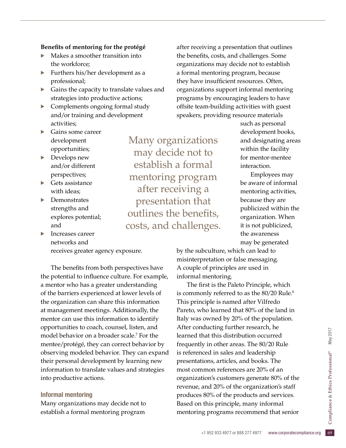### **Benefits of mentoring for the protégé**

- · Makes a smoother transition into the workforce;
- Furthers his/her development as a professional;
- Gains the capacity to translate values and strategies into productive actions;
- · Complements ongoing formal study and/or training and development activities;
- Gains some career development opportunities;
- Develops new and/or different perspectives;
- $\blacktriangleright$  Gets assistance with ideas;
- Demonstrates strengths and explores potential; and
- · Increases career networks and receives greater agency exposure.

The benefits from both perspectives have the potential to influence culture. For example, a mentor who has a greater understanding of the barriers experienced at lower levels of the organization can share this information at management meetings. Additionally, the mentor can use this information to identify opportunities to coach, counsel, listen, and model behavior on a broader scale.7 For the mentee/protégé, they can correct behavior by observing modeled behavior. They can expand their personal development by learning new information to translate values and strategies into productive actions.

#### Informal mentoring

Many organizations may decide not to establish a formal mentoring program

Many organizations may decide not to establish a formal mentoring program after receiving a presentation that outlines the benefits, costs, and challenges.

after receiving a presentation that outlines the benefits, costs, and challenges. Some organizations may decide not to establish a formal mentoring program, because they have insufficient resources. Often, organizations support informal mentoring programs by encouraging leaders to have offsite team-building activities with guest speakers, providing resource materials

such as personal development books, and designating areas within the facility for mentor-mentee interaction.

Employees may be aware of informal mentoring activities, because they are publicized within the organization. When it is not publicized, the awareness may be generated

by the subculture, which can lead to misinterpretation or false messaging. A couple of principles are used in informal mentoring.

this principle, many informal<br>ig programs recommend that senior<br> $+1$  952 933 4977 or 888 277 4977 www.corporatecompliance.org 69 The first is the Paleto Principle, which is commonly referred to as the 80/20 Rule.<sup>8</sup> This principle is named after Vilfredo Pareto, who learned that 80% of the land in Italy was owned by 20% of the population. After conducting further research, he learned that this distribution occurred frequently in other areas. The 80/20 Rule is referenced in sales and leadership presentations, articles, and books. The most common references are 20% of an organization's customers generate 80% of the revenue, and 20% of the organization's staff produces 80% of the products and services. Based on this principle, many informal mentoring programs recommend that senior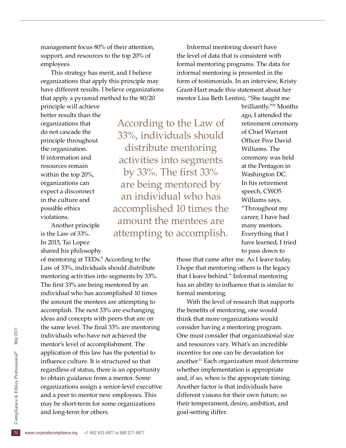management focus 80% of their attention, support, and resources to the top 20% of employees.

This strategy has merit, and I believe organizations that apply this principle may have different results. I believe organizations that apply a pyramid method to the 80/20

principle will achieve better results than the organizations that do not cascade the principle throughout the organization. If information and resources remain within the top 20%, organizations can expect a disconnect in the culture and possible ethics violations.

Another principle is the Law of 33%. In 2015, Tai Lopez shared his philosophy

may be short-term for some organizations<br>
and long-term for others.<br>
To www.corporatecompliance.org +1 952 933 4977 or 888 277 4977 of mentoring at TEDx.<sup>9</sup> According to the Law of 33%, individuals should distribute mentoring activities into segments by 33%. The first 33% are being mentored by an individual who has accomplished 10 times the amount the mentees are attempting to accomplish. The next 33% are exchanging ideas and concepts with peers that are on the same level. The final 33% are mentoring individuals who have not achieved the mentor's level of accomplishment. The application of this law has the potential to influence culture. It is structured so that regardless of status, there is an opportunity to obtain guidance from a mentor. Some organizations assign a senior-level executive and a peer to mentor new employees. This and long-term for others.

According to the Law of 33%, individuals should distribute mentoring activities into segments by 33%. The first 33% are being mentored by an individual who has accomplished 10 times the amount the mentees are attempting to accomplish.

Informal mentoring doesn't have the level of data that is consistent with formal mentoring programs. The data for informal mentoring is presented in the form of testimonials. In an interview, Kristy Grant-Hart made this statement about her mentor Lisa Beth Lentini, "She taught me

> brilliantly."10 Months ago, I attended the retirement ceremony of Chief Warrant Officer Five David Williams. The ceremony was held at the Pentagon in Washington DC. In his retirement speech, CWO5 Williams says, "Throughout my career, I have had many mentors. Everything that I have learned, I tried to pass down to

those that came after me. As I leave today, I hope that mentoring others is the legacy that I leave behind." Informal mentoring has an ability to influence that is similar to formal mentoring.

With the level of research that supports the benefits of mentoring, one would think that more organizations would consider having a mentoring program. One must consider that organizational size and resources vary. What's an incredible incentive for one can be devastation for another.11 Each organization must determine whether implementation is appropriate and, if so, when is the appropriate timing. Another factor is that individuals have different visions for their own future, so their temperament, desire, ambition, and goal-setting differ.